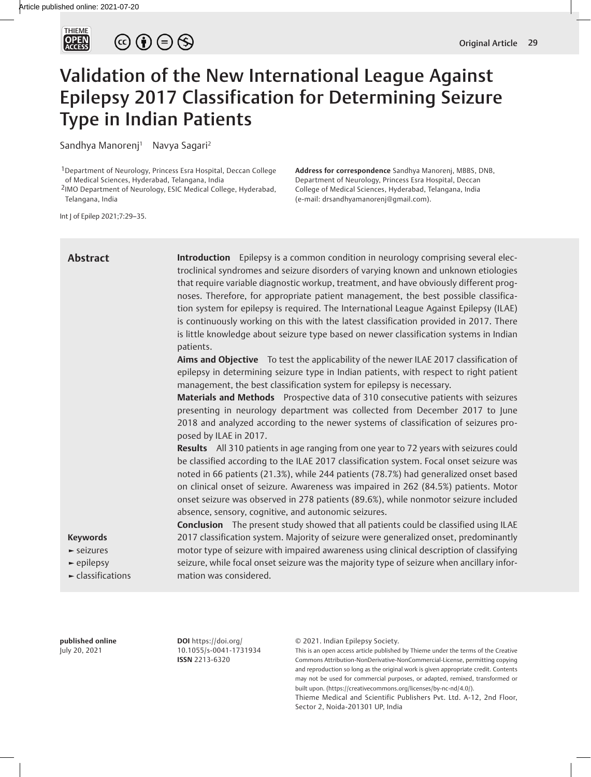

# $\circledcirc \bullet \circledcirc \circledcirc$

## Validation of the New International League Against Epilepsy 2017 Classification for Determining Seizure Type in Indian Patients

Sandhya Manorenj<sup>1</sup> Navya Sagari<sup>2</sup>

1Department of Neurology, Princess Esra Hospital, Deccan College of Medical Sciences, Hyderabad, Telangana, India

2IMO Department of Neurology, ESIC Medical College, Hyderabad, Telangana, India

**Address for correspondence** Sandhya Manorenj, MBBS, DNB, Department of Neurology, Princess Esra Hospital, Deccan College of Medical Sciences, Hyderabad, Telangana, India (e-mail: drsandhyamanorenj@gmail.com).

Int J of Epilep 2021;7:29–35.

| <b>Abstract</b>                                                                                                              | <b>Introduction</b> Epilepsy is a common condition in neurology comprising several elec-<br>troclinical syndromes and seizure disorders of varying known and unknown etiologies<br>that require variable diagnostic workup, treatment, and have obviously different prog-<br>noses. Therefore, for appropriate patient management, the best possible classifica-<br>tion system for epilepsy is required. The International League Against Epilepsy (ILAE)<br>is continuously working on this with the latest classification provided in 2017. There<br>is little knowledge about seizure type based on newer classification systems in Indian<br>patients.<br>Aims and Objective To test the applicability of the newer ILAE 2017 classification of<br>epilepsy in determining seizure type in Indian patients, with respect to right patient<br>management, the best classification system for epilepsy is necessary.<br>Materials and Methods Prospective data of 310 consecutive patients with seizures<br>presenting in neurology department was collected from December 2017 to June<br>2018 and analyzed according to the newer systems of classification of seizures pro-<br>posed by ILAE in 2017.<br>Results All 310 patients in age ranging from one year to 72 years with seizures could<br>be classified according to the ILAE 2017 classification system. Focal onset seizure was<br>noted in 66 patients (21.3%), while 244 patients (78.7%) had generalized onset based<br>on clinical onset of seizure. Awareness was impaired in 262 (84.5%) patients. Motor<br>onset seizure was observed in 278 patients (89.6%), while nonmotor seizure included<br>absence, sensory, cognitive, and autonomic seizures. |
|------------------------------------------------------------------------------------------------------------------------------|-------------------------------------------------------------------------------------------------------------------------------------------------------------------------------------------------------------------------------------------------------------------------------------------------------------------------------------------------------------------------------------------------------------------------------------------------------------------------------------------------------------------------------------------------------------------------------------------------------------------------------------------------------------------------------------------------------------------------------------------------------------------------------------------------------------------------------------------------------------------------------------------------------------------------------------------------------------------------------------------------------------------------------------------------------------------------------------------------------------------------------------------------------------------------------------------------------------------------------------------------------------------------------------------------------------------------------------------------------------------------------------------------------------------------------------------------------------------------------------------------------------------------------------------------------------------------------------------------------------------------------------------------------------------------------------------------------------------------------|
| <b>Keywords</b><br>$\blacktriangleright$ seizures<br>$\blacktriangleright$ epilepsy<br>$\blacktriangleright$ classifications | <b>Conclusion</b> The present study showed that all patients could be classified using ILAE<br>2017 classification system. Majority of seizure were generalized onset, predominantly<br>motor type of seizure with impaired awareness using clinical description of classifying<br>seizure, while focal onset seizure was the majority type of seizure when ancillary infor-<br>mation was considered.                                                                                                                                                                                                                                                                                                                                                                                                                                                                                                                                                                                                                                                                                                                                                                                                                                                                                                                                                                                                                                                                                                                                                                                                                                                                                                                        |

**published online** July 20, 2021

**DOI** https://doi.org/ 10.1055/s-0041-1731934 **ISSN** 2213-6320

© 2021. Indian Epilepsy Society.

This is an open access article published by Thieme under the terms of the Creative Commons Attribution-NonDerivative-NonCommercial-License, permitting copying and reproduction so long as the original work is given appropriate credit. Contents may not be used for commercial purposes, or adapted, remixed, transformed or built upon. (https://creativecommons.org/licenses/by-nc-nd/4.0/).

Thieme Medical and Scientific Publishers Pvt. Ltd. A-12, 2nd Floor, Sector 2, Noida-201301 UP, India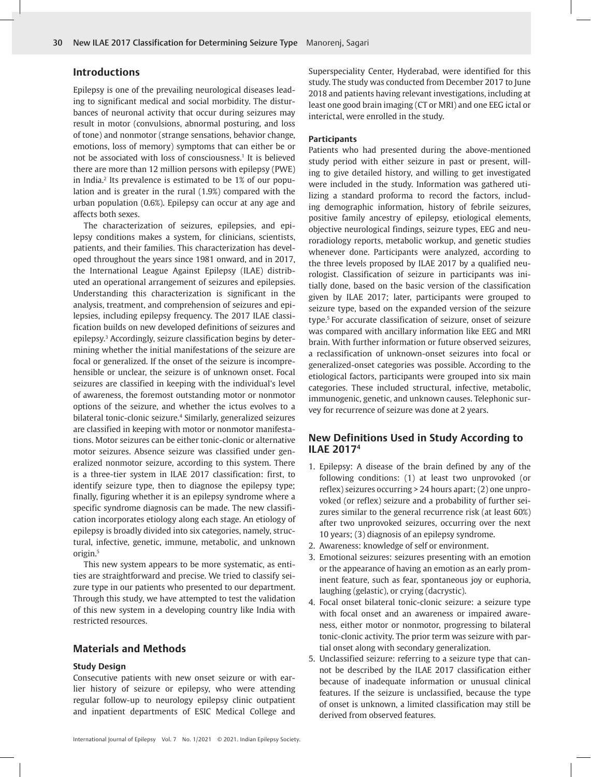## **Introductions**

Epilepsy is one of the prevailing neurological diseases leading to significant medical and social morbidity. The disturbances of neuronal activity that occur during seizures may result in motor (convulsions, abnormal posturing, and loss of tone) and nonmotor (strange sensations, behavior change, emotions, loss of memory) symptoms that can either be or not be associated with loss of consciousness.<sup>1</sup> It is believed there are more than 12 million persons with epilepsy (PWE) in India.<sup>2</sup> Its prevalence is estimated to be 1% of our population and is greater in the rural (1.9%) compared with the urban population (0.6%). Epilepsy can occur at any age and affects both sexes.

The characterization of seizures, epilepsies, and epilepsy conditions makes a system, for clinicians, scientists, patients, and their families. This characterization has developed throughout the years since 1981 onward, and in 2017, the International League Against Epilepsy (ILAE) distributed an operational arrangement of seizures and epilepsies. Understanding this characterization is significant in the analysis, treatment, and comprehension of seizures and epilepsies, including epilepsy frequency. The 2017 ILAE classification builds on new developed definitions of seizures and epilepsy.3 Accordingly, seizure classification begins by determining whether the initial manifestations of the seizure are focal or generalized. If the onset of the seizure is incomprehensible or unclear, the seizure is of unknown onset. Focal seizures are classified in keeping with the individual's level of awareness, the foremost outstanding motor or nonmotor options of the seizure, and whether the ictus evolves to a bilateral tonic-clonic seizure.4 Similarly, generalized seizures are classified in keeping with motor or nonmotor manifestations. Motor seizures can be either tonic-clonic or alternative motor seizures. Absence seizure was classified under generalized nonmotor seizure, according to this system. There is a three-tier system in ILAE 2017 classification: first, to identify seizure type, then to diagnose the epilepsy type; finally, figuring whether it is an epilepsy syndrome where a specific syndrome diagnosis can be made. The new classification incorporates etiology along each stage. An etiology of epilepsy is broadly divided into six categories, namely, structural, infective, genetic, immune, metabolic, and unknown origin.5

This new system appears to be more systematic, as entities are straightforward and precise. We tried to classify seizure type in our patients who presented to our department. Through this study, we have attempted to test the validation of this new system in a developing country like India with restricted resources.

## **Materials and Methods**

#### **Study Design**

Consecutive patients with new onset seizure or with earlier history of seizure or epilepsy, who were attending regular follow-up to neurology epilepsy clinic outpatient and inpatient departments of ESIC Medical College and

Superspeciality Center, Hyderabad, were identified for this study. The study was conducted from December 2017 to June 2018 and patients having relevant investigations, including at least one good brain imaging (CT or MRI) and one EEG ictal or interictal, were enrolled in the study.

#### **Participants**

Patients who had presented during the above-mentioned study period with either seizure in past or present, willing to give detailed history, and willing to get investigated were included in the study. Information was gathered utilizing a standard proforma to record the factors, including demographic information, history of febrile seizures, positive family ancestry of epilepsy, etiological elements, objective neurological findings, seizure types, EEG and neuroradiology reports, metabolic workup, and genetic studies whenever done. Participants were analyzed, according to the three levels proposed by ILAE 2017 by a qualified neurologist. Classification of seizure in participants was initially done, based on the basic version of the classification given by ILAE 2017; later, participants were grouped to seizure type, based on the expanded version of the seizure type.5 For accurate classification of seizure, onset of seizure was compared with ancillary information like EEG and MRI brain. With further information or future observed seizures, a reclassification of unknown-onset seizures into focal or generalized-onset categories was possible. According to the etiological factors, participants were grouped into six main categories. These included structural, infective, metabolic, immunogenic, genetic, and unknown causes. Telephonic survey for recurrence of seizure was done at 2 years.

## **New Definitions Used in Study According to ILAE 20174**

- 1. Epilepsy: A disease of the brain defined by any of the following conditions: (1) at least two unprovoked (or reflex) seizures occurring > 24 hours apart; (2) one unprovoked (or reflex) seizure and a probability of further seizures similar to the general recurrence risk (at least 60%) after two unprovoked seizures, occurring over the next 10 years; (3) diagnosis of an epilepsy syndrome.
- 2. Awareness: knowledge of self or environment.
- 3. Emotional seizures: seizures presenting with an emotion or the appearance of having an emotion as an early prominent feature, such as fear, spontaneous joy or euphoria, laughing (gelastic), or crying (dacrystic).
- 4. Focal onset bilateral tonic-clonic seizure: a seizure type with focal onset and an awareness or impaired awareness, either motor or nonmotor, progressing to bilateral tonic-clonic activity. The prior term was seizure with partial onset along with secondary generalization.
- 5. Unclassified seizure: referring to a seizure type that cannot be described by the ILAE 2017 classification either because of inadequate information or unusual clinical features. If the seizure is unclassified, because the type of onset is unknown, a limited classification may still be derived from observed features.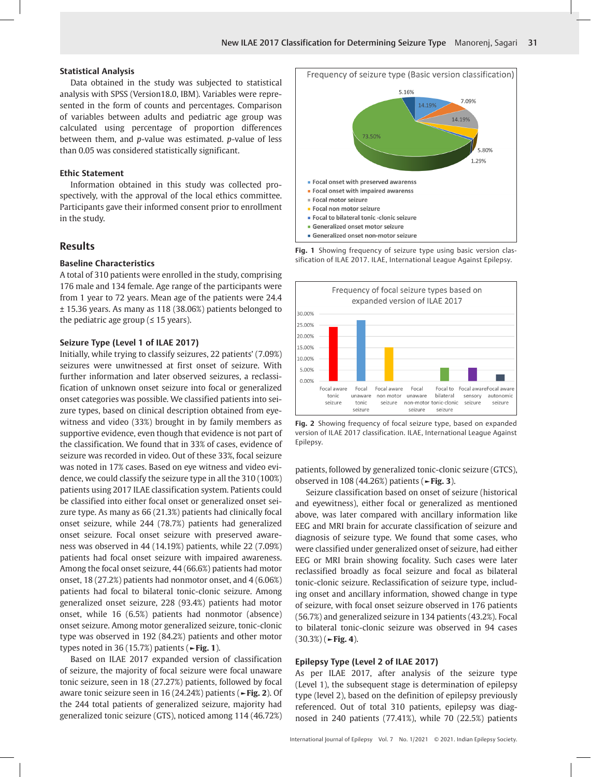#### **Statistical Analysis**

Data obtained in the study was subjected to statistical analysis with SPSS (Version18.0, IBM). Variables were represented in the form of counts and percentages. Comparison of variables between adults and pediatric age group was calculated using percentage of proportion differences between them, and *p*-value was estimated. *p*-value of less than 0.05 was considered statistically significant.

#### **Ethic Statement**

Information obtained in this study was collected prospectively, with the approval of the local ethics committee. Participants gave their informed consent prior to enrollment in the study.

## **Results**

#### **Baseline Characteristics**

A total of 310 patients were enrolled in the study, comprising 176 male and 134 female. Age range of the participants were from 1 year to 72 years. Mean age of the patients were 24.4 ± 15.36 years. As many as 118 (38.06%) patients belonged to the pediatric age group ( $\leq 15$  years).

#### **Seizure Type (Level 1 of ILAE 2017)**

Initially, while trying to classify seizures, 22 patients' (7.09%) seizures were unwitnessed at first onset of seizure. With further information and later observed seizures, a reclassification of unknown onset seizure into focal or generalized onset categories was possible. We classified patients into seizure types, based on clinical description obtained from eyewitness and video (33%) brought in by family members as supportive evidence, even though that evidence is not part of the classification. We found that in 33% of cases, evidence of seizure was recorded in video. Out of these 33%, focal seizure was noted in 17% cases. Based on eye witness and video evidence, we could classify the seizure type in all the 310 (100%) patients using 2017 ILAE classification system. Patients could be classified into either focal onset or generalized onset seizure type. As many as 66 (21.3%) patients had clinically focal onset seizure, while 244 (78.7%) patients had generalized onset seizure. Focal onset seizure with preserved awareness was observed in 44 (14.19%) patients, while 22 (7.09%) patients had focal onset seizure with impaired awareness. Among the focal onset seizure, 44 (66.6%) patients had motor onset, 18 (27.2%) patients had nonmotor onset, and 4 (6.06%) patients had focal to bilateral tonic-clonic seizure. Among generalized onset seizure, 228 (93.4%) patients had motor onset, while 16 (6.5%) patients had nonmotor (absence) onset seizure. Among motor generalized seizure, tonic-clonic type was observed in 192 (84.2%) patients and other motor types noted in 36 (15.7%) patients (**►Fig. 1**).

Based on ILAE 2017 expanded version of classification of seizure, the majority of focal seizure were focal unaware tonic seizure, seen in 18 (27.27%) patients, followed by focal aware tonic seizure seen in 16 (24.24%) patients (**►Fig. 2**). Of the 244 total patients of generalized seizure, majority had generalized tonic seizure (GTS), noticed among 114 (46.72%)



**Fig. 1** Showing frequency of seizure type using basic version classification of ILAE 2017. ILAE, International League Against Epilepsy.



**Fig. 2** Showing frequency of focal seizure type, based on expanded version of ILAE 2017 classification. ILAE, International League Against Epilepsy.

patients, followed by generalized tonic-clonic seizure (GTCS), observed in 108 (44.26%) patients (**►Fig. 3**).

Seizure classification based on onset of seizure (historical and eyewitness), either focal or generalized as mentioned above, was later compared with ancillary information like EEG and MRI brain for accurate classification of seizure and diagnosis of seizure type. We found that some cases, who were classified under generalized onset of seizure, had either EEG or MRI brain showing focality. Such cases were later reclassified broadly as focal seizure and focal as bilateral tonic-clonic seizure. Reclassification of seizure type, including onset and ancillary information, showed change in type of seizure, with focal onset seizure observed in 176 patients (56.7%) and generalized seizure in 134 patients (43.2%). Focal to bilateral tonic-clonic seizure was observed in 94 cases (30.3%) (**►Fig. 4**).

#### **Epilepsy Type (Level 2 of ILAE 2017)**

As per ILAE 2017, after analysis of the seizure type (Level 1), the subsequent stage is determination of epilepsy type (level 2), based on the definition of epilepsy previously referenced. Out of total 310 patients, epilepsy was diagnosed in 240 patients (77.41%), while 70 (22.5%) patients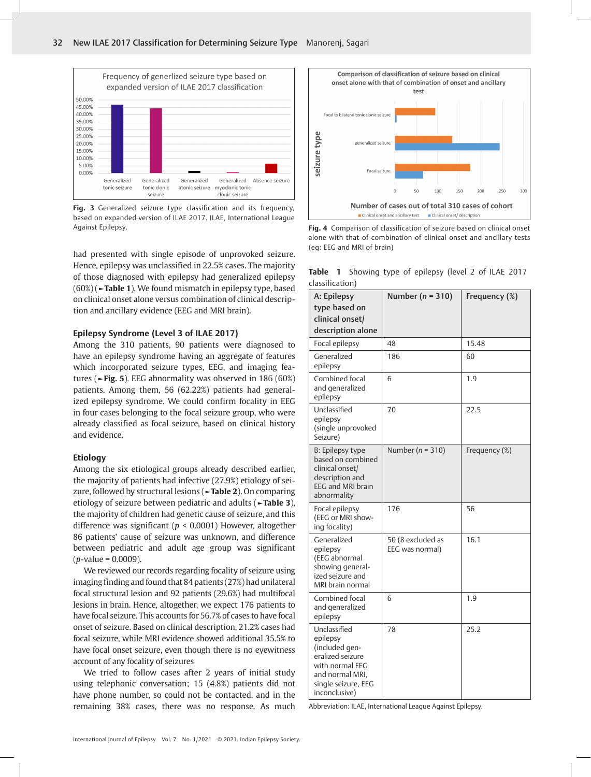

**Fig. 3** Generalized seizure type classification and its frequency, based on expanded version of ILAE 2017. ILAE, International League Against Epilepsy. **Fig. 4** Comparison of classification of seizure based on clinical onset

had presented with single episode of unprovoked seizure. Hence, epilepsy was unclassified in 22.5% cases. The majority of those diagnosed with epilepsy had generalized epilepsy (60%) (**►Table 1**). We found mismatch in epilepsy type, based on clinical onset alone versus combination of clinical description and ancillary evidence (EEG and MRI brain).

#### **Epilepsy Syndrome (Level 3 of ILAE 2017)**

Among the 310 patients, 90 patients were diagnosed to have an epilepsy syndrome having an aggregate of features which incorporated seizure types, EEG, and imaging features (**►Fig. 5**). EEG abnormality was observed in 186 (60%) patients. Among them, 56 (62.22%) patients had generalized epilepsy syndrome. We could confirm focality in EEG in four cases belonging to the focal seizure group, who were already classified as focal seizure, based on clinical history and evidence.

#### **Etiology**

Among the six etiological groups already described earlier, the majority of patients had infective (27.9%) etiology of seizure, followed by structural lesions (**►Table 2**). On comparing etiology of seizure between pediatric and adults (**►Table 3**), the majority of children had genetic cause of seizure, and this difference was significant (*p* < 0.0001) However, altogether 86 patients' cause of seizure was unknown, and difference between pediatric and adult age group was significant (*p*-value = 0.0009).

We reviewed our records regarding focality of seizure using imaging finding and found that 84 patients (27%) had unilateral focal structural lesion and 92 patients (29.6%) had multifocal lesions in brain. Hence, altogether, we expect 176 patients to have focal seizure. This accounts for 56.7% of cases to have focal onset of seizure. Based on clinical description, 21.2% cases had focal seizure, while MRI evidence showed additional 35.5% to have focal onset seizure, even though there is no eyewitness account of any focality of seizures

We tried to follow cases after 2 years of initial study using telephonic conversation; 15 (4.8%) patients did not have phone number, so could not be contacted, and in the remaining 38% cases, there was no response. As much



alone with that of combination of clinical onset and ancillary tests (eg: EEG and MRI of brain)

**Table 1** Showing type of epilepsy (level 2 of ILAE 2017 classification)

| A: Epilepsy<br>type based on<br>clinical onset/<br>description alone                                                                         | Number ( $n = 310$ )                 | Frequency (%) |
|----------------------------------------------------------------------------------------------------------------------------------------------|--------------------------------------|---------------|
| Focal epilepsy                                                                                                                               | 48                                   | 15.48         |
| Generalized<br>epilepsy                                                                                                                      | 186                                  | 60            |
| Combined focal<br>and generalized<br>epilepsy                                                                                                | 6                                    | 1.9           |
| Unclassified<br>epilepsy<br>(single unprovoked<br>Seizure)                                                                                   | 70                                   | 22.5          |
| <b>B:</b> Epilepsy type<br>based on combined<br>clinical onset/<br>description and<br>EEG and MRI brain<br>abnormality                       | Number ( $n = 310$ )                 | Frequency (%) |
| Focal epilepsy<br>(EEG or MRI show-<br>ing focality)                                                                                         | 176                                  | 56            |
| Generalized<br>epilepsy<br>(EEG abnormal<br>showing general-<br>ized seizure and<br>MRI brain normal                                         | 50 (8 excluded as<br>EEG was normal) | 16.1          |
| Combined focal<br>and generalized<br>epilepsy                                                                                                | 6                                    | 1.9           |
| Unclassified<br>epilepsy<br>(included gen-<br>eralized seizure<br>with normal EEG<br>and normal MRI.<br>single seizure, EEG<br>inconclusive) | 78                                   | 25.2          |

Abbreviation: ILAE, International League Against Epilepsy.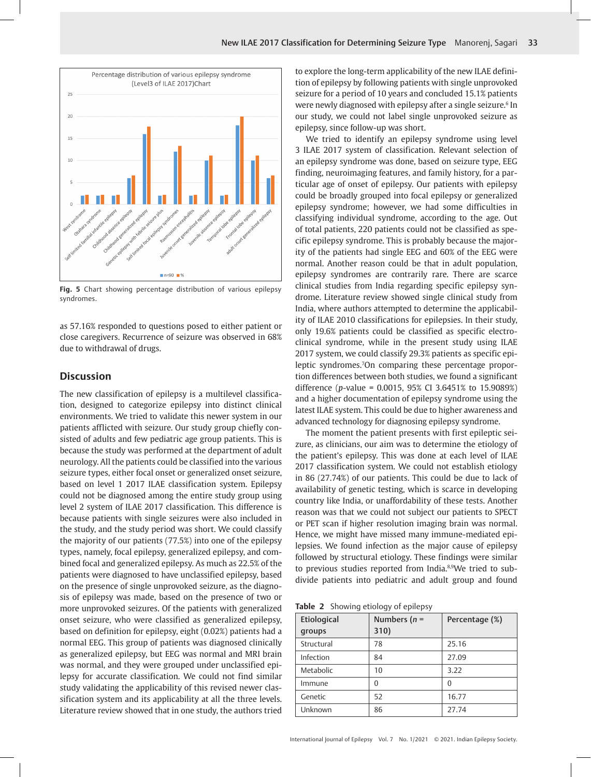

**Fig. 5** Chart showing percentage distribution of various epilepsy syndromes.

as 57.16% responded to questions posed to either patient or close caregivers. Recurrence of seizure was observed in 68% due to withdrawal of drugs.

## **Discussion**

The new classification of epilepsy is a multilevel classification, designed to categorize epilepsy into distinct clinical environments. We tried to validate this newer system in our patients afflicted with seizure. Our study group chiefly consisted of adults and few pediatric age group patients. This is because the study was performed at the department of adult neurology. All the patients could be classified into the various seizure types, either focal onset or generalized onset seizure, based on level 1 2017 ILAE classification system. Epilepsy could not be diagnosed among the entire study group using level 2 system of ILAE 2017 classification. This difference is because patients with single seizures were also included in the study, and the study period was short. We could classify the majority of our patients (77.5%) into one of the epilepsy types, namely, focal epilepsy, generalized epilepsy, and combined focal and generalized epilepsy. As much as 22.5% of the patients were diagnosed to have unclassified epilepsy, based on the presence of single unprovoked seizure, as the diagnosis of epilepsy was made, based on the presence of two or more unprovoked seizures. Of the patients with generalized onset seizure, who were classified as generalized epilepsy, based on definition for epilepsy, eight (0.02%) patients had a normal EEG. This group of patients was diagnosed clinically as generalized epilepsy, but EEG was normal and MRI brain was normal, and they were grouped under unclassified epilepsy for accurate classification. We could not find similar study validating the applicability of this revised newer classification system and its applicability at all the three levels. Literature review showed that in one study, the authors tried

to explore the long-term applicability of the new ILAE definition of epilepsy by following patients with single unprovoked seizure for a period of 10 years and concluded 15.1% patients were newly diagnosed with epilepsy after a single seizure.<sup>6</sup> In our study, we could not label single unprovoked seizure as epilepsy, since follow-up was short.

We tried to identify an epilepsy syndrome using level 3 ILAE 2017 system of classification. Relevant selection of an epilepsy syndrome was done, based on seizure type, EEG finding, neuroimaging features, and family history, for a particular age of onset of epilepsy. Our patients with epilepsy could be broadly grouped into focal epilepsy or generalized epilepsy syndrome; however, we had some difficulties in classifying individual syndrome, according to the age. Out of total patients, 220 patients could not be classified as specific epilepsy syndrome. This is probably because the majority of the patients had single EEG and 60% of the EEG were normal. Another reason could be that in adult population, epilepsy syndromes are contrarily rare. There are scarce clinical studies from India regarding specific epilepsy syndrome. Literature review showed single clinical study from India, where authors attempted to determine the applicability of ILAE 2010 classifications for epilepsies. In their study, only 19.6% patients could be classified as specific electroclinical syndrome, while in the present study using ILAE 2017 system, we could classify 29.3% patients as specific epileptic syndromes.7 On comparing these percentage proportion differences between both studies, we found a significant difference (*p*-value = 0.0015, 95% CI 3.6451% to 15.9089%) and a higher documentation of epilepsy syndrome using the latest ILAE system. This could be due to higher awareness and advanced technology for diagnosing epilepsy syndrome.

The moment the patient presents with first epileptic seizure, as clinicians, our aim was to determine the etiology of the patient's epilepsy. This was done at each level of ILAE 2017 classification system. We could not establish etiology in 86 (27.74%) of our patients. This could be due to lack of availability of genetic testing, which is scarce in developing country like India, or unaffordability of these tests. Another reason was that we could not subject our patients to SPECT or PET scan if higher resolution imaging brain was normal. Hence, we might have missed many immune-mediated epilepsies. We found infection as the major cause of epilepsy followed by structural etiology. These findings were similar to previous studies reported from India.<sup>8,9</sup>We tried to subdivide patients into pediatric and adult group and found

**Table 2** Showing etiology of epilepsy

| Etiological<br>qroups | Numbers ( $n =$<br>310) | Percentage (%) |
|-----------------------|-------------------------|----------------|
| Structural            | 78                      | 25.16          |
| Infection             | 84                      | 27.09          |
| Metabolic             | 10                      | 3.22           |
| Immune                | $\Omega$                | $\theta$       |
| Genetic               | 52                      | 16.77          |
| Unknown               | 86                      | 27.74          |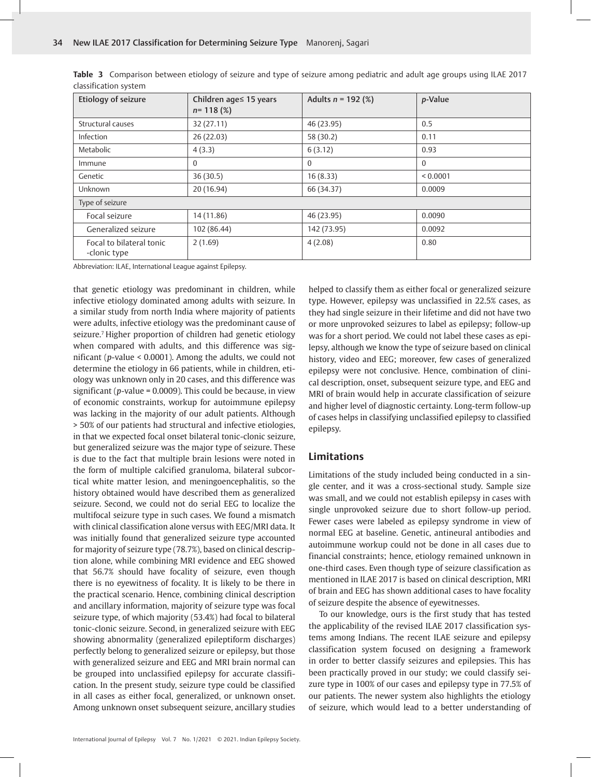| Etiology of seizure                      | Children age≤ 15 years<br>$n=118(%)$ | Adults $n = 192$ (%) | p-Value  |  |  |
|------------------------------------------|--------------------------------------|----------------------|----------|--|--|
| Structural causes                        | 32(27.11)                            | 46 (23.95)           | 0.5      |  |  |
| Infection                                | 26 (22.03)                           | 58 (30.2)            | 0.11     |  |  |
| Metabolic                                | 4(3.3)                               | 6(3.12)              | 0.93     |  |  |
| Immune                                   | $\Omega$                             | $\Omega$             | $\Omega$ |  |  |
| Genetic                                  | 36(30.5)                             | 16(8.33)             | < 0.0001 |  |  |
| Unknown                                  | 20 (16.94)                           | 66 (34.37)           | 0.0009   |  |  |
| Type of seizure                          |                                      |                      |          |  |  |
| Focal seizure                            | 14 (11.86)                           | 46 (23.95)           | 0.0090   |  |  |
| Generalized seizure                      | 102 (86.44)                          | 142 (73.95)          | 0.0092   |  |  |
| Focal to bilateral tonic<br>-clonic type | 2(1.69)                              | 4(2.08)              | 0.80     |  |  |

**Table 3** Comparison between etiology of seizure and type of seizure among pediatric and adult age groups using ILAE 2017 classification system

Abbreviation: ILAE, International League against Epilepsy.

that genetic etiology was predominant in children, while infective etiology dominated among adults with seizure. In a similar study from north India where majority of patients were adults, infective etiology was the predominant cause of seizure.<sup>7</sup> Higher proportion of children had genetic etiology when compared with adults, and this difference was significant (*p*-value < 0.0001). Among the adults, we could not determine the etiology in 66 patients, while in children, etiology was unknown only in 20 cases, and this difference was significant (*p*-value = 0.0009). This could be because, in view of economic constraints, workup for autoimmune epilepsy was lacking in the majority of our adult patients. Although > 50% of our patients had structural and infective etiologies, in that we expected focal onset bilateral tonic-clonic seizure, but generalized seizure was the major type of seizure. These is due to the fact that multiple brain lesions were noted in the form of multiple calcified granuloma, bilateral subcortical white matter lesion, and meningoencephalitis, so the history obtained would have described them as generalized seizure. Second, we could not do serial EEG to localize the multifocal seizure type in such cases. We found a mismatch with clinical classification alone versus with EEG/MRI data. It was initially found that generalized seizure type accounted for majority of seizure type (78.7%), based on clinical description alone, while combining MRI evidence and EEG showed that 56.7% should have focality of seizure, even though there is no eyewitness of focality. It is likely to be there in the practical scenario. Hence, combining clinical description and ancillary information, majority of seizure type was focal seizure type, of which majority (53.4%) had focal to bilateral tonic-clonic seizure. Second, in generalized seizure with EEG showing abnormality (generalized epileptiform discharges) perfectly belong to generalized seizure or epilepsy, but those with generalized seizure and EEG and MRI brain normal can be grouped into unclassified epilepsy for accurate classification. In the present study, seizure type could be classified in all cases as either focal, generalized, or unknown onset. Among unknown onset subsequent seizure, ancillary studies helped to classify them as either focal or generalized seizure type. However, epilepsy was unclassified in 22.5% cases, as they had single seizure in their lifetime and did not have two or more unprovoked seizures to label as epilepsy; follow-up was for a short period. We could not label these cases as epilepsy, although we know the type of seizure based on clinical history, video and EEG; moreover, few cases of generalized epilepsy were not conclusive. Hence, combination of clinical description, onset, subsequent seizure type, and EEG and MRI of brain would help in accurate classification of seizure and higher level of diagnostic certainty. Long-term follow-up of cases helps in classifying unclassified epilepsy to classified epilepsy.

## **Limitations**

Limitations of the study included being conducted in a single center, and it was a cross-sectional study. Sample size was small, and we could not establish epilepsy in cases with single unprovoked seizure due to short follow-up period. Fewer cases were labeled as epilepsy syndrome in view of normal EEG at baseline. Genetic, antineural antibodies and autoimmune workup could not be done in all cases due to financial constraints; hence, etiology remained unknown in one-third cases. Even though type of seizure classification as mentioned in ILAE 2017 is based on clinical description, MRI of brain and EEG has shown additional cases to have focality of seizure despite the absence of eyewitnesses.

To our knowledge, ours is the first study that has tested the applicability of the revised ILAE 2017 classification systems among Indians. The recent ILAE seizure and epilepsy classification system focused on designing a framework in order to better classify seizures and epilepsies. This has been practically proved in our study; we could classify seizure type in 100% of our cases and epilepsy type in 77.5% of our patients. The newer system also highlights the etiology of seizure, which would lead to a better understanding of